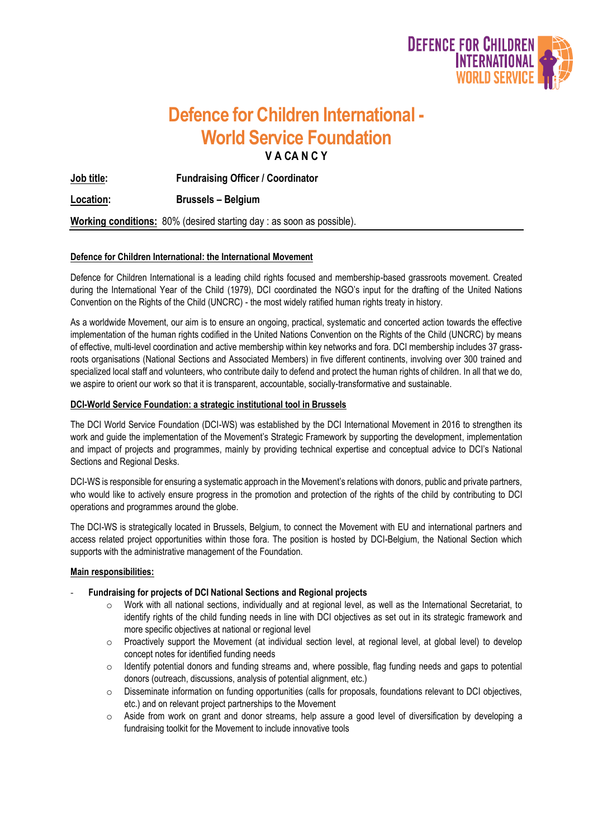

# **Defence for Children International - World Service Foundation V A CA N C Y**

**Job title: Fundraising Officer / Coordinator**

**Location: Brussels – Belgium**

**Working conditions:** 80% (desired starting day : as soon as possible).

# **Defence for Children International: the International Movement**

Defence for Children International is a leading child rights focused and membership-based grassroots movement. Created during the International Year of the Child (1979), DCI coordinated the NGO's input for the drafting of the United Nations Convention on the Rights of the Child (UNCRC) - the most widely ratified human rights treaty in history.

As a worldwide Movement, our aim is to ensure an ongoing, practical, systematic and concerted action towards the effective implementation of the human rights codified in the United Nations Convention on the Rights of the Child (UNCRC) by means of effective, multi-level coordination and active membership within key networks and fora. DCI membership includes 37 grassroots organisations (National Sections and Associated Members) in five different continents, involving over 300 trained and specialized local staff and volunteers, who contribute daily to defend and protect the human rights of children. In all that we do, we aspire to orient our work so that it is transparent, accountable, socially-transformative and sustainable.

## **DCI-World Service Foundation: a strategic institutional tool in Brussels**

The DCI World Service Foundation (DCI-WS) was established by the DCI International Movement in 2016 to strengthen its work and guide the implementation of the Movement's Strategic Framework by supporting the development, implementation and impact of projects and programmes, mainly by providing technical expertise and conceptual advice to DCI's National Sections and Regional Desks.

DCI-WS is responsible for ensuring a systematic approach in the Movement's relations with donors, public and private partners, who would like to actively ensure progress in the promotion and protection of the rights of the child by contributing to DCI operations and programmes around the globe.

The DCI-WS is strategically located in Brussels, Belgium, to connect the Movement with EU and international partners and access related project opportunities within those fora. The position is hosted by DCI-Belgium, the National Section which supports with the administrative management of the Foundation.

#### **Main responsibilities:**

- **Fundraising for projects of DCI National Sections and Regional projects**
	- o Work with all national sections, individually and at regional level, as well as the International Secretariat, to identify rights of the child funding needs in line with DCI objectives as set out in its strategic framework and more specific objectives at national or regional level
	- o Proactively support the Movement (at individual section level, at regional level, at global level) to develop concept notes for identified funding needs
	- o Identify potential donors and funding streams and, where possible, flag funding needs and gaps to potential donors (outreach, discussions, analysis of potential alignment, etc.)
	- o Disseminate information on funding opportunities (calls for proposals, foundations relevant to DCI objectives, etc.) and on relevant project partnerships to the Movement
	- $\circ$  Aside from work on grant and donor streams, help assure a good level of diversification by developing a fundraising toolkit for the Movement to include innovative tools